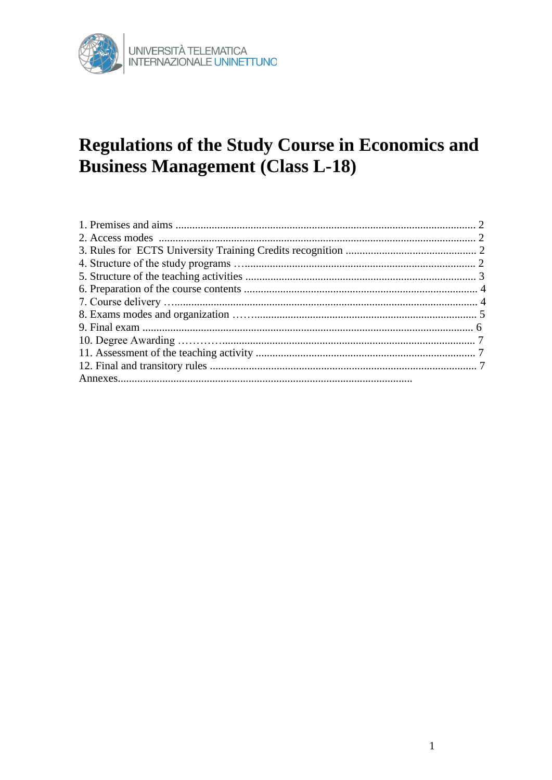

# **Regulations of the Study Course in Economics and Business Management (Class L-18)**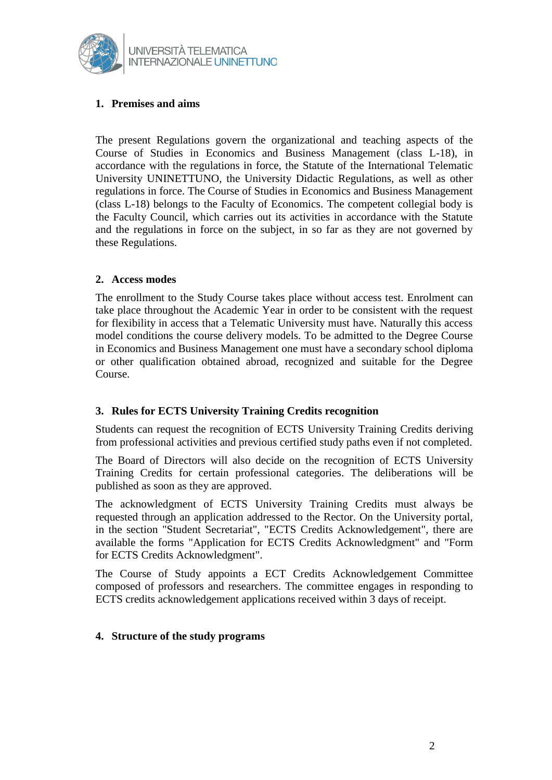

## **1. Premises and aims**

The present Regulations govern the organizational and teaching aspects of the Course of Studies in Economics and Business Management (class L-18), in accordance with the regulations in force, the Statute of the International Telematic University UNINETTUNO, the University Didactic Regulations, as well as other regulations in force. The Course of Studies in Economics and Business Management (class L-18) belongs to the Faculty of Economics. The competent collegial body is the Faculty Council, which carries out its activities in accordance with the Statute and the regulations in force on the subject, in so far as they are not governed by these Regulations.

### **2. Access modes**

The enrollment to the Study Course takes place without access test. Enrolment can take place throughout the Academic Year in order to be consistent with the request for flexibility in access that a Telematic University must have. Naturally this access model conditions the course delivery models. To be admitted to the Degree Course in Economics and Business Management one must have a secondary school diploma or other qualification obtained abroad, recognized and suitable for the Degree Course.

### **3. Rules for ECTS University Training Credits recognition**

Students can request the recognition of ECTS University Training Credits deriving from professional activities and previous certified study paths even if not completed.

The Board of Directors will also decide on the recognition of ECTS University Training Credits for certain professional categories. The deliberations will be published as soon as they are approved.

The acknowledgment of ECTS University Training Credits must always be requested through an application addressed to the Rector. On the University portal, in the section "Student Secretariat", "ECTS Credits Acknowledgement", there are available the forms "Application for ECTS Credits Acknowledgment" and "Form for ECTS Credits Acknowledgment".

The Course of Study appoints a ECT Credits Acknowledgement Committee composed of professors and researchers. The committee engages in responding to ECTS credits acknowledgement applications received within 3 days of receipt.

### **4. Structure of the study programs**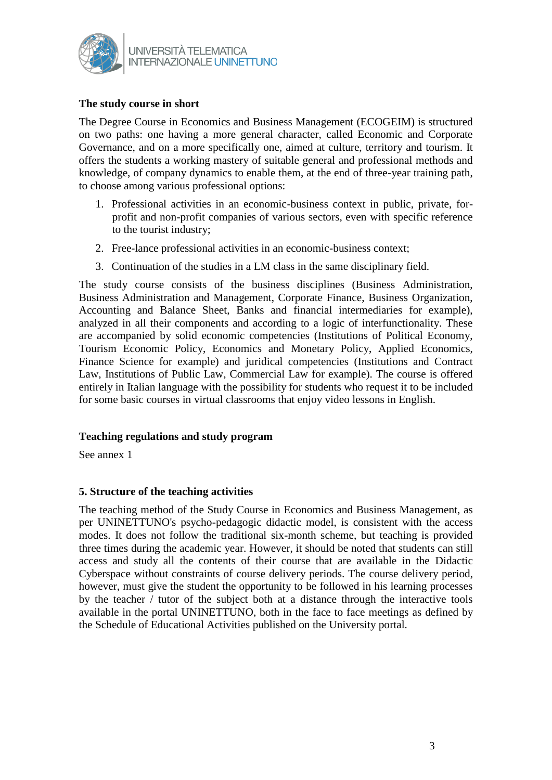

#### **The study course in short**

The Degree Course in Economics and Business Management (ECOGEIM) is structured on two paths: one having a more general character, called Economic and Corporate Governance, and on a more specifically one, aimed at culture, territory and tourism. It offers the students a working mastery of suitable general and professional methods and knowledge, of company dynamics to enable them, at the end of three-year training path, to choose among various professional options:

- 1. Professional activities in an economic-business context in public, private, forprofit and non-profit companies of various sectors, even with specific reference to the tourist industry;
- 2. Free-lance professional activities in an economic-business context;
- 3. Continuation of the studies in a LM class in the same disciplinary field.

The study course consists of the business disciplines (Business Administration, Business Administration and Management, Corporate Finance, Business Organization, Accounting and Balance Sheet, Banks and financial intermediaries for example), analyzed in all their components and according to a logic of interfunctionality. These are accompanied by solid economic competencies (Institutions of Political Economy, Tourism Economic Policy, Economics and Monetary Policy, Applied Economics, Finance Science for example) and juridical competencies (Institutions and Contract Law, Institutions of Public Law, Commercial Law for example). The course is offered entirely in Italian language with the possibility for students who request it to be included for some basic courses in virtual classrooms that enjoy video lessons in English.

### **Teaching regulations and study program**

See annex 1

### **5. Structure of the teaching activities**

The teaching method of the Study Course in Economics and Business Management, as per UNINETTUNO's psycho-pedagogic didactic model, is consistent with the access modes. It does not follow the traditional six-month scheme, but teaching is provided three times during the academic year. However, it should be noted that students can still access and study all the contents of their course that are available in the Didactic Cyberspace without constraints of course delivery periods. The course delivery period, however, must give the student the opportunity to be followed in his learning processes by the teacher / tutor of the subject both at a distance through the interactive tools available in the portal UNINETTUNO, both in the face to face meetings as defined by the Schedule of Educational Activities published on the University portal.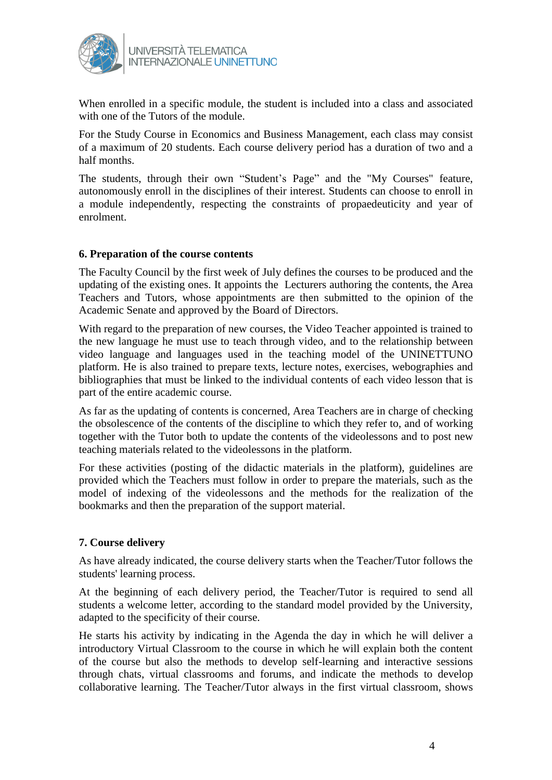

When enrolled in a specific module, the student is included into a class and associated with one of the Tutors of the module.

For the Study Course in Economics and Business Management, each class may consist of a maximum of 20 students. Each course delivery period has a duration of two and a half months.

The students, through their own "Student's Page" and the "My Courses" feature, autonomously enroll in the disciplines of their interest. Students can choose to enroll in a module independently, respecting the constraints of propaedeuticity and year of enrolment.

### **6. Preparation of the course contents**

The Faculty Council by the first week of July defines the courses to be produced and the updating of the existing ones. It appoints the Lecturers authoring the contents, the Area Teachers and Tutors, whose appointments are then submitted to the opinion of the Academic Senate and approved by the Board of Directors.

With regard to the preparation of new courses, the Video Teacher appointed is trained to the new language he must use to teach through video, and to the relationship between video language and languages used in the teaching model of the UNINETTUNO platform. He is also trained to prepare texts, lecture notes, exercises, webographies and bibliographies that must be linked to the individual contents of each video lesson that is part of the entire academic course.

As far as the updating of contents is concerned, Area Teachers are in charge of checking the obsolescence of the contents of the discipline to which they refer to, and of working together with the Tutor both to update the contents of the videolessons and to post new teaching materials related to the videolessons in the platform.

For these activities (posting of the didactic materials in the platform), guidelines are provided which the Teachers must follow in order to prepare the materials, such as the model of indexing of the videolessons and the methods for the realization of the bookmarks and then the preparation of the support material.

### **7. Course delivery**

As have already indicated, the course delivery starts when the Teacher/Tutor follows the students' learning process.

At the beginning of each delivery period, the Teacher/Tutor is required to send all students a welcome letter, according to the standard model provided by the University, adapted to the specificity of their course.

He starts his activity by indicating in the Agenda the day in which he will deliver a introductory Virtual Classroom to the course in which he will explain both the content of the course but also the methods to develop self-learning and interactive sessions through chats, virtual classrooms and forums, and indicate the methods to develop collaborative learning. The Teacher/Tutor always in the first virtual classroom, shows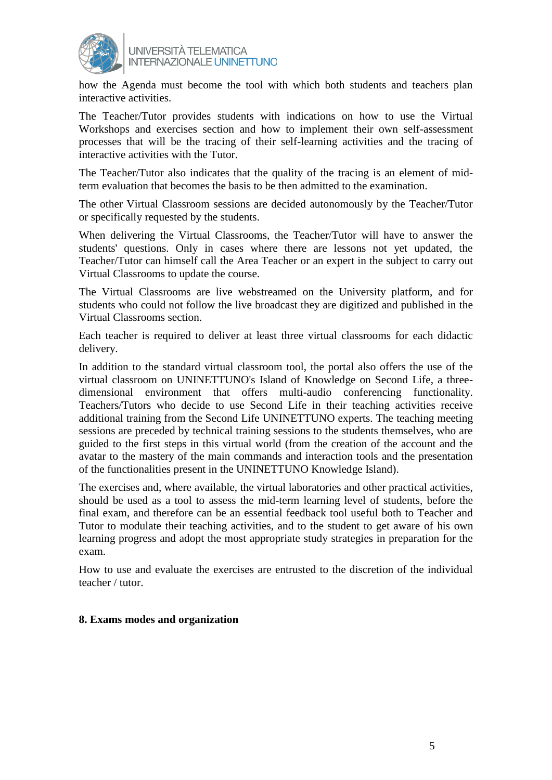

UNIVERSITÀ TELEMATICA **INTERNAZIONALE UNINETTUNO** 

how the Agenda must become the tool with which both students and teachers plan interactive activities.

The Teacher/Tutor provides students with indications on how to use the Virtual Workshops and exercises section and how to implement their own self-assessment processes that will be the tracing of their self-learning activities and the tracing of interactive activities with the Tutor.

The Teacher/Tutor also indicates that the quality of the tracing is an element of midterm evaluation that becomes the basis to be then admitted to the examination.

The other Virtual Classroom sessions are decided autonomously by the Teacher/Tutor or specifically requested by the students.

When delivering the Virtual Classrooms, the Teacher/Tutor will have to answer the students' questions. Only in cases where there are lessons not yet updated, the Teacher/Tutor can himself call the Area Teacher or an expert in the subject to carry out Virtual Classrooms to update the course.

The Virtual Classrooms are live webstreamed on the University platform, and for students who could not follow the live broadcast they are digitized and published in the Virtual Classrooms section.

Each teacher is required to deliver at least three virtual classrooms for each didactic delivery.

In addition to the standard virtual classroom tool, the portal also offers the use of the virtual classroom on UNINETTUNO's Island of Knowledge on Second Life, a threedimensional environment that offers multi-audio conferencing functionality. Teachers/Tutors who decide to use Second Life in their teaching activities receive additional training from the Second Life UNINETTUNO experts. The teaching meeting sessions are preceded by technical training sessions to the students themselves, who are guided to the first steps in this virtual world (from the creation of the account and the avatar to the mastery of the main commands and interaction tools and the presentation of the functionalities present in the UNINETTUNO Knowledge Island).

The exercises and, where available, the virtual laboratories and other practical activities, should be used as a tool to assess the mid-term learning level of students, before the final exam, and therefore can be an essential feedback tool useful both to Teacher and Tutor to modulate their teaching activities, and to the student to get aware of his own learning progress and adopt the most appropriate study strategies in preparation for the exam.

How to use and evaluate the exercises are entrusted to the discretion of the individual teacher / tutor.

#### **8. Exams modes and organization**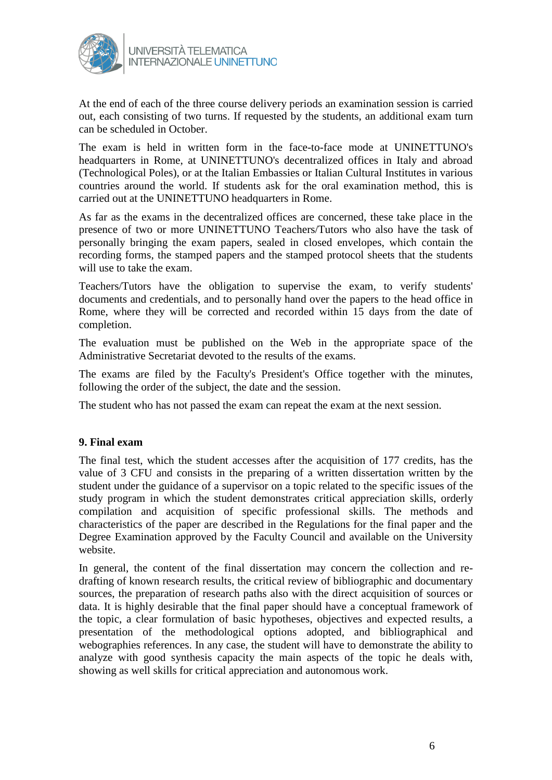

At the end of each of the three course delivery periods an examination session is carried out, each consisting of two turns. If requested by the students, an additional exam turn can be scheduled in October.

The exam is held in written form in the face-to-face mode at UNINETTUNO's headquarters in Rome, at UNINETTUNO's decentralized offices in Italy and abroad (Technological Poles), or at the Italian Embassies or Italian Cultural Institutes in various countries around the world. If students ask for the oral examination method, this is carried out at the UNINETTUNO headquarters in Rome.

As far as the exams in the decentralized offices are concerned, these take place in the presence of two or more UNINETTUNO Teachers/Tutors who also have the task of personally bringing the exam papers, sealed in closed envelopes, which contain the recording forms, the stamped papers and the stamped protocol sheets that the students will use to take the exam.

Teachers/Tutors have the obligation to supervise the exam, to verify students' documents and credentials, and to personally hand over the papers to the head office in Rome, where they will be corrected and recorded within 15 days from the date of completion.

The evaluation must be published on the Web in the appropriate space of the Administrative Secretariat devoted to the results of the exams.

The exams are filed by the Faculty's President's Office together with the minutes, following the order of the subject, the date and the session.

The student who has not passed the exam can repeat the exam at the next session.

### **9. Final exam**

The final test, which the student accesses after the acquisition of 177 credits, has the value of 3 CFU and consists in the preparing of a written dissertation written by the student under the guidance of a supervisor on a topic related to the specific issues of the study program in which the student demonstrates critical appreciation skills, orderly compilation and acquisition of specific professional skills. The methods and characteristics of the paper are described in the Regulations for the final paper and the Degree Examination approved by the Faculty Council and available on the University website.

In general, the content of the final dissertation may concern the collection and redrafting of known research results, the critical review of bibliographic and documentary sources, the preparation of research paths also with the direct acquisition of sources or data. It is highly desirable that the final paper should have a conceptual framework of the topic, a clear formulation of basic hypotheses, objectives and expected results, a presentation of the methodological options adopted, and bibliographical and webographies references. In any case, the student will have to demonstrate the ability to analyze with good synthesis capacity the main aspects of the topic he deals with, showing as well skills for critical appreciation and autonomous work.